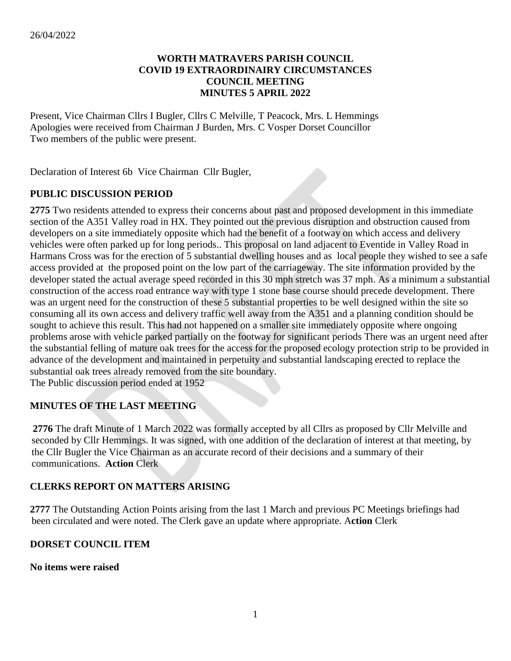#### **WORTH MATRAVERS PARISH COUNCIL COVID 19 EXTRAORDINAIRY CIRCUMSTANCES COUNCIL MEETING MINUTES 5 APRIL 2022**

Present, Vice Chairman Cllrs I Bugler, Cllrs C Melville, T Peacock, Mrs. L Hemmings Apologies were received from Chairman J Burden, Mrs. C Vosper Dorset Councillor Two members of the public were present.

Declaration of Interest 6b Vice Chairman Cllr Bugler,

## **PUBLIC DISCUSSION PERIOD**

**2775** Two residents attended to express their concerns about past and proposed development in this immediate section of the A351 Valley road in HX. They pointed out the previous disruption and obstruction caused from developers on a site immediately opposite which had the benefit of a footway on which access and delivery vehicles were often parked up for long periods.. This proposal on land adjacent to Eventide in Valley Road in Harmans Cross was for the erection of 5 substantial dwelling houses and as local people they wished to see a safe access provided at the proposed point on the low part of the carriageway. The site information provided by the developer stated the actual average speed recorded in this 30 mph stretch was 37 mph. As a minimum a substantial construction of the access road entrance way with type 1 stone base course should precede development. There was an urgent need for the construction of these 5 substantial properties to be well designed within the site so consuming all its own access and delivery traffic well away from the A351 and a planning condition should be sought to achieve this result. This had not happened on a smaller site immediately opposite where ongoing problems arose with vehicle parked partially on the footway for significant periods There was an urgent need after the substantial felling of mature oak trees for the access for the proposed ecology protection strip to be provided in advance of the development and maintained in perpetuity and substantial landscaping erected to replace the substantial oak trees already removed from the site boundary.

The Public discussion period ended at 1952

# **MINUTES OF THE LAST MEETING**

 **2776** The draft Minute of 1 March 2022 was formally accepted by all Cllrs as proposed by Cllr Melville and seconded by Cllr Hemmings. It was signed, with one addition of the declaration of interest at that meeting, by the Cllr Bugler the Vice Chairman as an accurate record of their decisions and a summary of their communications. **Action** Clerk

## **CLERKS REPORT ON MATTERS ARISING**

**2777** The Outstanding Action Points arising from the last 1 March and previous PC Meetings briefings had been circulated and were noted. The Clerk gave an update where appropriate. A**ction** Clerk

## **DORSET COUNCIL ITEM**

**No items were raised**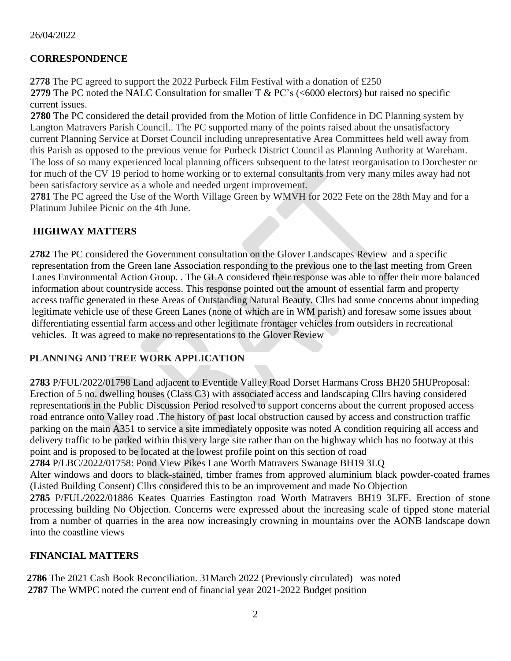#### 26/04/2022

## **CORRESPONDENCE**

**2778** The PC agreed to support the 2022 Purbeck Film Festival with a donation of £250 **2779** The PC noted the NALC Consultation for smaller T & PC's (<6000 electors) but raised no specific current issues.

**2780** The PC considered the detail provided from the Motion of little Confidence in DC Planning system by Langton Matravers Parish Council.. The PC supported many of the points raised about the unsatisfactory current Planning Service at Dorset Council including unrepresentative Area Committees held well away from this Parish as opposed to the previous venue for Purbeck District Council as Planning Authority at Wareham. The loss of so many experienced local planning officers subsequent to the latest reorganisation to Dorchester or for much of the CV 19 period to home working or to external consultants from very many miles away had not been satisfactory service as a whole and needed urgent improvement.

**2781** The PC agreed the Use of the Worth Village Green by WMVH for 2022 Fete on the 28th May and for a Platinum Jubilee Picnic on the 4th June.

## **HIGHWAY MATTERS**

**2782** The PC considered the Government consultation on the Glover Landscapes Review–and a specific representation from the Green lane Association responding to the previous one to the last meeting from Green Lanes Environmental Action Group. . The GLA considered their response was able to offer their more balanced information about countryside access. This response pointed out the amount of essential farm and property access traffic generated in these Areas of Outstanding Natural Beauty. Cllrs had some concerns about impeding legitimate vehicle use of these Green Lanes (none of which are in WM parish) and foresaw some issues about differentiating essential farm access and other legitimate frontager vehicles from outsiders in recreational vehicles. It was agreed to make no representations to the Glover Review

# **PLANNING AND TREE WORK APPLICATION**

**2783** P/FUL/2022/01798 Land adjacent to Eventide Valley Road Dorset Harmans Cross BH20 5HUProposal: Erection of 5 no. dwelling houses (Class C3) with associated access and landscaping Cllrs having considered representations in the Public Discussion Period resolved to support concerns about the current proposed access road entrance onto Valley road .The history of past local obstruction caused by access and construction traffic parking on the main A351 to service a site immediately opposite was noted A condition requiring all access and delivery traffic to be parked within this very large site rather than on the highway which has no footway at this point and is proposed to be located at the lowest profile point on this section of road **2784** P/LBC/2022/01758: Pond View Pikes Lane Worth Matravers Swanage BH19 3LQ Alter windows and doors to black-stained, timber frames from approved aluminium black powder-coated frames (Listed Building Consent) Cllrs considered this to be an improvement and made No Objection

**2785** P/FUL/2022/01886 Keates Quarries Eastington road Worth Matravers BH19 3LFF. Erection of stone processing building No Objection. Concerns were expressed about the increasing scale of tipped stone material from a number of quarries in the area now increasingly crowning in mountains over the AONB landscape down into the coastline views

# **FINANCIAL MATTERS**

**2786** The 2021 Cash Book Reconciliation. 31March 2022 (Previously circulated)was noted **2787** The WMPC noted the current end of financial year 2021-2022 Budget position